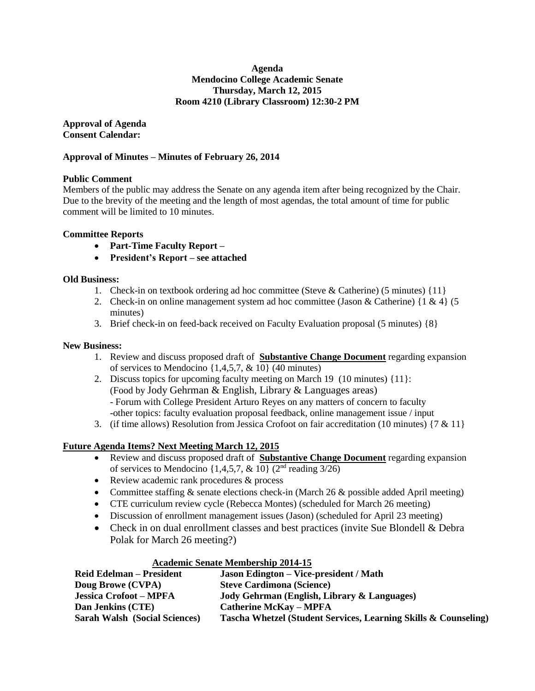## **Agenda Mendocino College Academic Senate Thursday, March 12, 2015 Room 4210 (Library Classroom) 12:30-2 PM**

**Approval of Agenda Consent Calendar:**

## **Approval of Minutes – Minutes of February 26, 2014**

## **Public Comment**

Members of the public may address the Senate on any agenda item after being recognized by the Chair. Due to the brevity of the meeting and the length of most agendas, the total amount of time for public comment will be limited to 10 minutes.

## **Committee Reports**

- **Part-Time Faculty Report –**
- **President's Report – see attached**

## **Old Business:**

- 1. Check-in on textbook ordering ad hoc committee (Steve & Catherine) (5 minutes) {11}
- 2. Check-in on online management system ad hoc committee (Jason & Catherine)  $\{1 \& 4\}$  (5) minutes)
- 3. Brief check-in on feed-back received on Faculty Evaluation proposal (5 minutes) {8}

## **New Business:**

- 1. Review and discuss proposed draft of **Substantive Change Document** regarding expansion of services to Mendocino  $\{1,4,5,7, \& 10\}$  (40 minutes)
- 2. Discuss topics for upcoming faculty meeting on March 19 (10 minutes) {11}: (Food by Jody Gehrman & English, Library & Languages areas) - Forum with College President Arturo Reyes on any matters of concern to faculty -other topics: faculty evaluation proposal feedback, online management issue / input
- 3. (if time allows) Resolution from Jessica Crofoot on fair accreditation (10 minutes) {7 & 11}

## **Future Agenda Items? Next Meeting March 12, 2015**

- Review and discuss proposed draft of **Substantive Change Document** regarding expansion of services to Mendocino  $\{1,4,5,7, \& 10\}$  (2<sup>nd</sup> reading 3/26)
- Review academic rank procedures & process
- Committee staffing  $&$  senate elections check-in (March 26  $&$  possible added April meeting)
- CTE curriculum review cycle (Rebecca Montes) (scheduled for March 26 meeting)
- Discussion of enrollment management issues (Jason) (scheduled for April 23 meeting)
- Check in on dual enrollment classes and best practices (invite Sue Blondell & Debra Polak for March 26 meeting?)

## **Academic Senate Membership 2014-15**

| <b>Reid Edelman – President</b>      | <b>Jason Edington – Vice-president / Math</b>                   |
|--------------------------------------|-----------------------------------------------------------------|
| Doug Browe (CVPA)                    | <b>Steve Cardimona (Science)</b>                                |
| <b>Jessica Crofoot – MPFA</b>        | Jody Gehrman (English, Library & Languages)                     |
| Dan Jenkins (CTE)                    | <b>Catherine McKay – MPFA</b>                                   |
| <b>Sarah Walsh (Social Sciences)</b> | Tascha Whetzel (Student Services, Learning Skills & Counseling) |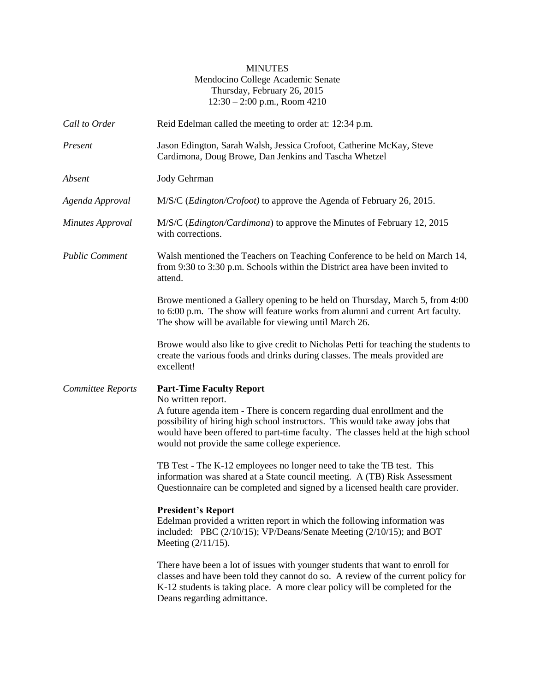## MINUTES Mendocino College Academic Senate Thursday, February 26, 2015 12:30 – 2:00 p.m., Room 4210

| Call to Order            | Reid Edelman called the meeting to order at: 12:34 p.m.                                                                                                                                                                                                                                                                                                    |
|--------------------------|------------------------------------------------------------------------------------------------------------------------------------------------------------------------------------------------------------------------------------------------------------------------------------------------------------------------------------------------------------|
| Present                  | Jason Edington, Sarah Walsh, Jessica Crofoot, Catherine McKay, Steve<br>Cardimona, Doug Browe, Dan Jenkins and Tascha Whetzel                                                                                                                                                                                                                              |
| Absent                   | Jody Gehrman                                                                                                                                                                                                                                                                                                                                               |
| Agenda Approval          | M/S/C ( <i>Edington/Crofoot</i> ) to approve the Agenda of February 26, 2015.                                                                                                                                                                                                                                                                              |
| <b>Minutes Approval</b>  | M/S/C (Edington/Cardimona) to approve the Minutes of February 12, 2015<br>with corrections.                                                                                                                                                                                                                                                                |
| <b>Public Comment</b>    | Walsh mentioned the Teachers on Teaching Conference to be held on March 14,<br>from 9:30 to 3:30 p.m. Schools within the District area have been invited to<br>attend.                                                                                                                                                                                     |
|                          | Browe mentioned a Gallery opening to be held on Thursday, March 5, from 4:00<br>to 6:00 p.m. The show will feature works from alumni and current Art faculty.<br>The show will be available for viewing until March 26.                                                                                                                                    |
|                          | Browe would also like to give credit to Nicholas Petti for teaching the students to<br>create the various foods and drinks during classes. The meals provided are<br>excellent!                                                                                                                                                                            |
| <b>Committee Reports</b> | <b>Part-Time Faculty Report</b><br>No written report.<br>A future agenda item - There is concern regarding dual enrollment and the<br>possibility of hiring high school instructors. This would take away jobs that<br>would have been offered to part-time faculty. The classes held at the high school<br>would not provide the same college experience. |
|                          | TB Test - The K-12 employees no longer need to take the TB test. This<br>information was shared at a State council meeting. A (TB) Risk Assessment<br>Questionnaire can be completed and signed by a licensed health care provider.                                                                                                                        |
|                          | <b>President's Report</b><br>Edelman provided a written report in which the following information was<br>included: PBC (2/10/15); VP/Deans/Senate Meeting (2/10/15); and BOT<br>Meeting $(2/11/15)$ .                                                                                                                                                      |
|                          | There have been a lot of issues with younger students that want to enroll for<br>classes and have been told they cannot do so. A review of the current policy for<br>K-12 students is taking place. A more clear policy will be completed for the<br>Deans regarding admittance.                                                                           |
|                          |                                                                                                                                                                                                                                                                                                                                                            |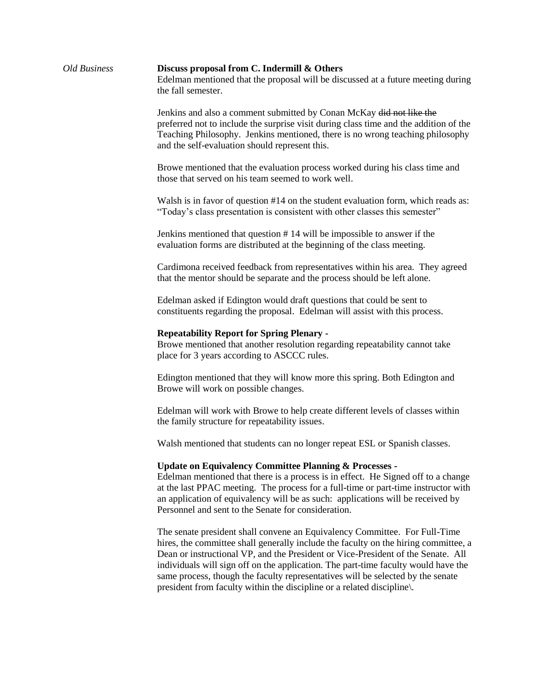| Old Business | Discuss proposal from C. Indermill & Others<br>Edelman mentioned that the proposal will be discussed at a future meeting during<br>the fall semester.                                                                                                                                                                                                                                                                                                                                                   |
|--------------|---------------------------------------------------------------------------------------------------------------------------------------------------------------------------------------------------------------------------------------------------------------------------------------------------------------------------------------------------------------------------------------------------------------------------------------------------------------------------------------------------------|
|              | Jenkins and also a comment submitted by Conan McKay did not like the<br>preferred not to include the surprise visit during class time and the addition of the<br>Teaching Philosophy. Jenkins mentioned, there is no wrong teaching philosophy<br>and the self-evaluation should represent this.                                                                                                                                                                                                        |
|              | Browe mentioned that the evaluation process worked during his class time and<br>those that served on his team seemed to work well.                                                                                                                                                                                                                                                                                                                                                                      |
|              | Walsh is in favor of question #14 on the student evaluation form, which reads as:<br>"Today's class presentation is consistent with other classes this semester"                                                                                                                                                                                                                                                                                                                                        |
|              | Jenkins mentioned that question #14 will be impossible to answer if the<br>evaluation forms are distributed at the beginning of the class meeting.                                                                                                                                                                                                                                                                                                                                                      |
|              | Cardimona received feedback from representatives within his area. They agreed<br>that the mentor should be separate and the process should be left alone.                                                                                                                                                                                                                                                                                                                                               |
|              | Edelman asked if Edington would draft questions that could be sent to<br>constituents regarding the proposal. Edelman will assist with this process.                                                                                                                                                                                                                                                                                                                                                    |
|              | <b>Repeatability Report for Spring Plenary -</b><br>Browe mentioned that another resolution regarding repeatability cannot take<br>place for 3 years according to ASCCC rules.                                                                                                                                                                                                                                                                                                                          |
|              | Edington mentioned that they will know more this spring. Both Edington and<br>Browe will work on possible changes.                                                                                                                                                                                                                                                                                                                                                                                      |
|              | Edelman will work with Browe to help create different levels of classes within<br>the family structure for repeatability issues.                                                                                                                                                                                                                                                                                                                                                                        |
|              | Walsh mentioned that students can no longer repeat ESL or Spanish classes.                                                                                                                                                                                                                                                                                                                                                                                                                              |
|              | <b>Update on Equivalency Committee Planning &amp; Processes -</b><br>Edelman mentioned that there is a process is in effect. He Signed off to a change<br>at the last PPAC meeting. The process for a full-time or part-time instructor with<br>an application of equivalency will be as such: applications will be received by<br>Personnel and sent to the Senate for consideration.                                                                                                                  |
|              | The senate president shall convene an Equivalency Committee. For Full-Time<br>hires, the committee shall generally include the faculty on the hiring committee, a<br>Dean or instructional VP, and the President or Vice-President of the Senate. All<br>individuals will sign off on the application. The part-time faculty would have the<br>same process, though the faculty representatives will be selected by the senate<br>president from faculty within the discipline or a related discipline. |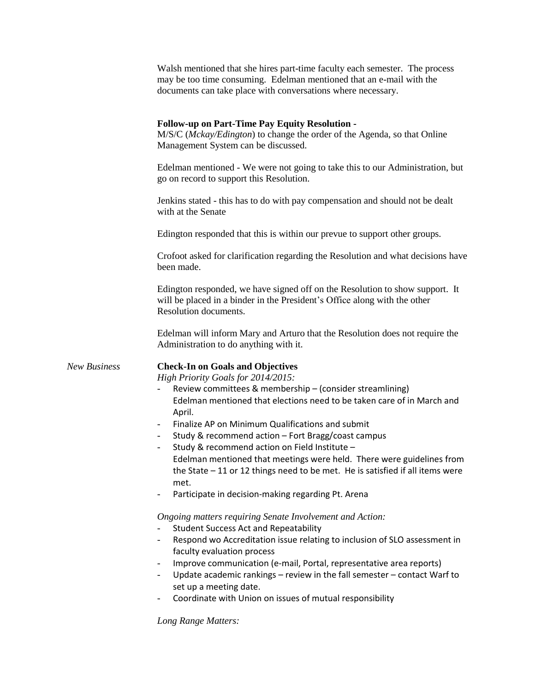|              | Walsh mentioned that she hires part-time faculty each semester. The process<br>may be too time consuming. Edelman mentioned that an e-mail with the<br>documents can take place with conversations where necessary.                                                                                                                                                                                                                                                                                                                                                                                                                                                                                                                                                                                                                                                                                                                                                                                                                                                                    |
|--------------|----------------------------------------------------------------------------------------------------------------------------------------------------------------------------------------------------------------------------------------------------------------------------------------------------------------------------------------------------------------------------------------------------------------------------------------------------------------------------------------------------------------------------------------------------------------------------------------------------------------------------------------------------------------------------------------------------------------------------------------------------------------------------------------------------------------------------------------------------------------------------------------------------------------------------------------------------------------------------------------------------------------------------------------------------------------------------------------|
|              | <b>Follow-up on Part-Time Pay Equity Resolution -</b><br>M/S/C (Mckay/Edington) to change the order of the Agenda, so that Online<br>Management System can be discussed.                                                                                                                                                                                                                                                                                                                                                                                                                                                                                                                                                                                                                                                                                                                                                                                                                                                                                                               |
|              | Edelman mentioned - We were not going to take this to our Administration, but<br>go on record to support this Resolution.                                                                                                                                                                                                                                                                                                                                                                                                                                                                                                                                                                                                                                                                                                                                                                                                                                                                                                                                                              |
|              | Jenkins stated - this has to do with pay compensation and should not be dealt<br>with at the Senate                                                                                                                                                                                                                                                                                                                                                                                                                                                                                                                                                                                                                                                                                                                                                                                                                                                                                                                                                                                    |
|              | Edington responded that this is within our prevue to support other groups.                                                                                                                                                                                                                                                                                                                                                                                                                                                                                                                                                                                                                                                                                                                                                                                                                                                                                                                                                                                                             |
|              | Crofoot asked for clarification regarding the Resolution and what decisions have<br>been made.                                                                                                                                                                                                                                                                                                                                                                                                                                                                                                                                                                                                                                                                                                                                                                                                                                                                                                                                                                                         |
|              | Edington responded, we have signed off on the Resolution to show support. It<br>will be placed in a binder in the President's Office along with the other<br>Resolution documents.                                                                                                                                                                                                                                                                                                                                                                                                                                                                                                                                                                                                                                                                                                                                                                                                                                                                                                     |
|              | Edelman will inform Mary and Arturo that the Resolution does not require the<br>Administration to do anything with it.                                                                                                                                                                                                                                                                                                                                                                                                                                                                                                                                                                                                                                                                                                                                                                                                                                                                                                                                                                 |
| New Business | <b>Check-In on Goals and Objectives</b><br>High Priority Goals for 2014/2015:<br>Review committees & membership - (consider streamlining)<br>Edelman mentioned that elections need to be taken care of in March and<br>April.<br>Finalize AP on Minimum Qualifications and submit<br>Study & recommend action - Fort Bragg/coast campus<br>Study & recommend action on Field Institute -<br>Edelman mentioned that meetings were held. There were guidelines from<br>the State $-11$ or 12 things need to be met. He is satisfied if all items were<br>met.<br>Participate in decision-making regarding Pt. Arena<br>Ongoing matters requiring Senate Involvement and Action:<br><b>Student Success Act and Repeatability</b><br>Respond wo Accreditation issue relating to inclusion of SLO assessment in<br>faculty evaluation process<br>Improve communication (e-mail, Portal, representative area reports)<br>-<br>Update academic rankings - review in the fall semester - contact Warf to<br>set up a meeting date.<br>Coordinate with Union on issues of mutual responsibility |
|              | Long Range Matters:                                                                                                                                                                                                                                                                                                                                                                                                                                                                                                                                                                                                                                                                                                                                                                                                                                                                                                                                                                                                                                                                    |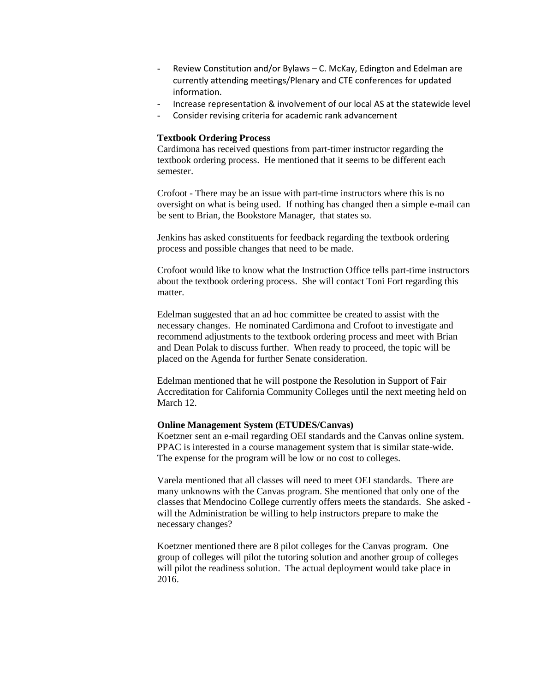- Review Constitution and/or Bylaws C. McKay, Edington and Edelman are currently attending meetings/Plenary and CTE conferences for updated information.
- Increase representation & involvement of our local AS at the statewide level
- Consider revising criteria for academic rank advancement

#### **Textbook Ordering Process**

Cardimona has received questions from part-timer instructor regarding the textbook ordering process. He mentioned that it seems to be different each semester.

Crofoot - There may be an issue with part-time instructors where this is no oversight on what is being used. If nothing has changed then a simple e-mail can be sent to Brian, the Bookstore Manager, that states so.

Jenkins has asked constituents for feedback regarding the textbook ordering process and possible changes that need to be made.

Crofoot would like to know what the Instruction Office tells part-time instructors about the textbook ordering process. She will contact Toni Fort regarding this matter.

Edelman suggested that an ad hoc committee be created to assist with the necessary changes. He nominated Cardimona and Crofoot to investigate and recommend adjustments to the textbook ordering process and meet with Brian and Dean Polak to discuss further. When ready to proceed, the topic will be placed on the Agenda for further Senate consideration.

Edelman mentioned that he will postpone the Resolution in Support of Fair Accreditation for California Community Colleges until the next meeting held on March 12.

### **Online Management System (ETUDES/Canvas)**

Koetzner sent an e-mail regarding OEI standards and the Canvas online system. PPAC is interested in a course management system that is similar state-wide. The expense for the program will be low or no cost to colleges.

Varela mentioned that all classes will need to meet OEI standards. There are many unknowns with the Canvas program. She mentioned that only one of the classes that Mendocino College currently offers meets the standards. She asked will the Administration be willing to help instructors prepare to make the necessary changes?

Koetzner mentioned there are 8 pilot colleges for the Canvas program. One group of colleges will pilot the tutoring solution and another group of colleges will pilot the readiness solution. The actual deployment would take place in 2016.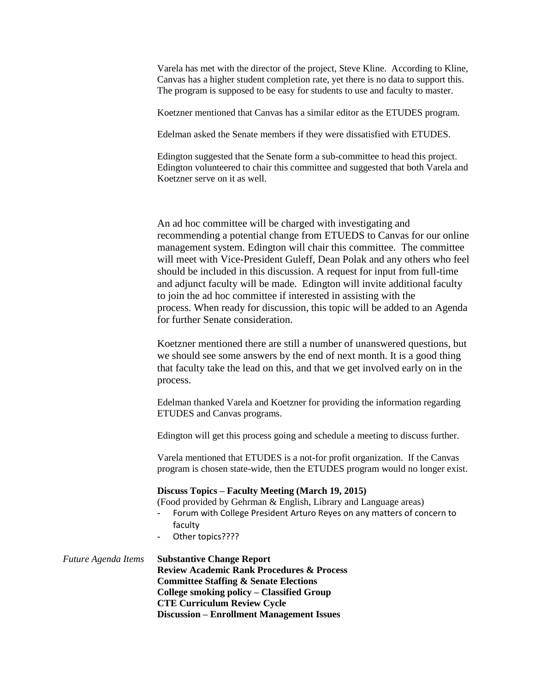Varela has met with the director of the project, Steve Kline. According to Kline, Canvas has a higher student completion rate, yet there is no data to support this. The program is supposed to be easy for students to use and faculty to master.

Koetzner mentioned that Canvas has a similar editor as the ETUDES program.

Edelman asked the Senate members if they were dissatisfied with ETUDES.

Edington suggested that the Senate form a sub-committee to head this project. Edington volunteered to chair this committee and suggested that both Varela and Koetzner serve on it as well.

An ad hoc committee will be charged with investigating and recommending a potential change from ETUEDS to Canvas for our online management system. Edington will chair this committee. The committee will meet with Vice-President Guleff, Dean Polak and any others who feel should be included in this discussion. A request for input from full-time and adjunct faculty will be made. Edington will invite additional faculty to join the ad hoc committee if interested in assisting with the process. When ready for discussion, this topic will be added to an Agenda for further Senate consideration.

Koetzner mentioned there are still a number of unanswered questions, but we should see some answers by the end of next month. It is a good thing that faculty take the lead on this, and that we get involved early on in the process.

Edelman thanked Varela and Koetzner for providing the information regarding ETUDES and Canvas programs.

Edington will get this process going and schedule a meeting to discuss further.

Varela mentioned that ETUDES is a not-for profit organization. If the Canvas program is chosen state-wide, then the ETUDES program would no longer exist.

#### **Discuss Topics – Faculty Meeting (March 19, 2015)**

(Food provided by Gehrman & English, Library and Language areas)

- Forum with College President Arturo Reyes on any matters of concern to faculty
- Other topics????

| Future Agenda Items | <b>Substantive Change Report</b>                     |
|---------------------|------------------------------------------------------|
|                     | <b>Review Academic Rank Procedures &amp; Process</b> |
|                     | <b>Committee Staffing &amp; Senate Elections</b>     |
|                     | College smoking policy – Classified Group            |
|                     | <b>CTE Curriculum Review Cycle</b>                   |
|                     | <b>Discussion – Enrollment Management Issues</b>     |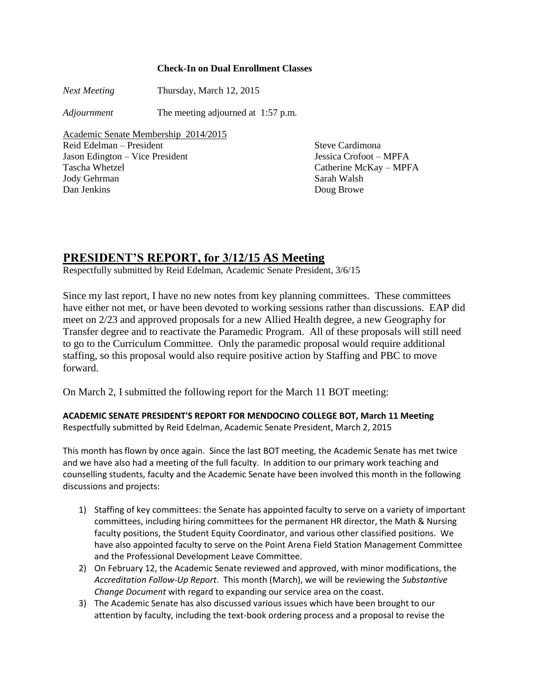## **Check-In on Dual Enrollment Classes**

*Next Meeting* Thursday, March 12, 2015

*Adjournment* The meeting adjourned at 1:57 p.m.

Academic Senate Membership 2014/2015 Reid Edelman – President Steve Cardimona Jason Edington – Vice President Jessica Crofoot – MPFA

Jody Gehrman Sarah Walsh Dan Jenkins Doug Browe

Tascha Whetzel Catherine McKay – MPFA

## **PRESIDENT'S REPORT, for 3/12/15 AS Meeting**

Respectfully submitted by Reid Edelman, Academic Senate President, 3/6/15

Since my last report, I have no new notes from key planning committees. These committees have either not met, or have been devoted to working sessions rather than discussions. EAP did meet on 2/23 and approved proposals for a new Allied Health degree, a new Geography for Transfer degree and to reactivate the Paramedic Program. All of these proposals will still need to go to the Curriculum Committee. Only the paramedic proposal would require additional staffing, so this proposal would also require positive action by Staffing and PBC to move forward.

On March 2, I submitted the following report for the March 11 BOT meeting:

**ACADEMIC SENATE PRESIDENT'S REPORT FOR MENDOCINO COLLEGE BOT, March 11 Meeting** Respectfully submitted by Reid Edelman, Academic Senate President, March 2, 2015

This month has flown by once again. Since the last BOT meeting, the Academic Senate has met twice and we have also had a meeting of the full faculty. In addition to our primary work teaching and counselling students, faculty and the Academic Senate have been involved this month in the following discussions and projects:

- 1) Staffing of key committees: the Senate has appointed faculty to serve on a variety of important committees, including hiring committees for the permanent HR director, the Math & Nursing faculty positions, the Student Equity Coordinator, and various other classified positions. We have also appointed faculty to serve on the Point Arena Field Station Management Committee and the Professional Development Leave Committee.
- 2) On February 12, the Academic Senate reviewed and approved, with minor modifications, the *Accreditation Follow-Up Report*. This month (March), we will be reviewing the *Substantive Change Document* with regard to expanding our service area on the coast.
- 3) The Academic Senate has also discussed various issues which have been brought to our attention by faculty, including the text-book ordering process and a proposal to revise the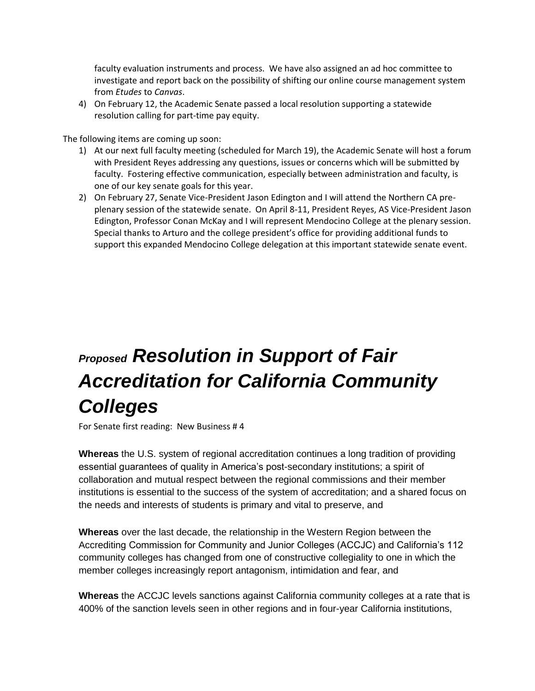faculty evaluation instruments and process. We have also assigned an ad hoc committee to investigate and report back on the possibility of shifting our online course management system from *Etudes* to *Canvas*.

4) On February 12, the Academic Senate passed a local resolution supporting a statewide resolution calling for part-time pay equity.

The following items are coming up soon:

- 1) At our next full faculty meeting (scheduled for March 19), the Academic Senate will host a forum with President Reyes addressing any questions, issues or concerns which will be submitted by faculty. Fostering effective communication, especially between administration and faculty, is one of our key senate goals for this year.
- 2) On February 27, Senate Vice-President Jason Edington and I will attend the Northern CA preplenary session of the statewide senate. On April 8-11, President Reyes, AS Vice-President Jason Edington, Professor Conan McKay and I will represent Mendocino College at the plenary session. Special thanks to Arturo and the college president's office for providing additional funds to support this expanded Mendocino College delegation at this important statewide senate event.

# *Proposed Resolution in Support of Fair Accreditation for California Community Colleges*

For Senate first reading: New Business # 4

**Whereas** the U.S. system of regional accreditation continues a long tradition of providing essential guarantees of quality in America's post-secondary institutions; a spirit of collaboration and mutual respect between the regional commissions and their member institutions is essential to the success of the system of accreditation; and a shared focus on the needs and interests of students is primary and vital to preserve, and

**Whereas** over the last decade, the relationship in the Western Region between the Accrediting Commission for Community and Junior Colleges (ACCJC) and California's 112 community colleges has changed from one of constructive collegiality to one in which the member colleges increasingly report antagonism, intimidation and fear, and

**Whereas** the ACCJC levels sanctions against California community colleges at a rate that is 400% of the sanction levels seen in other regions and in four-year California institutions,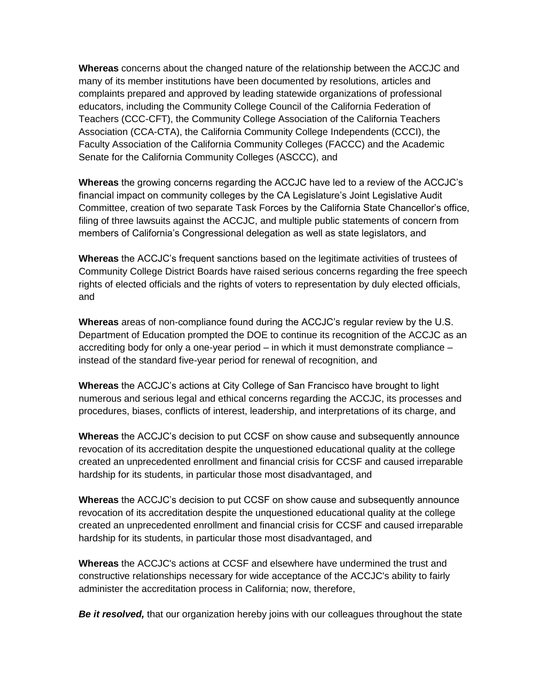**Whereas** concerns about the changed nature of the relationship between the ACCJC and many of its member institutions have been documented by resolutions, articles and complaints prepared and approved by leading statewide organizations of professional educators, including the Community College Council of the California Federation of Teachers (CCC-CFT), the Community College Association of the California Teachers Association (CCA-CTA), the California Community College Independents (CCCI), the Faculty Association of the California Community Colleges (FACCC) and the Academic Senate for the California Community Colleges (ASCCC), and

**Whereas** the growing concerns regarding the ACCJC have led to a review of the ACCJC's financial impact on community colleges by the CA Legislature's Joint Legislative Audit Committee, creation of two separate Task Forces by the California State Chancellor's office, filing of three lawsuits against the ACCJC, and multiple public statements of concern from members of California's Congressional delegation as well as state legislators, and

**Whereas** the ACCJC's frequent sanctions based on the legitimate activities of trustees of Community College District Boards have raised serious concerns regarding the free speech rights of elected officials and the rights of voters to representation by duly elected officials, and

**Whereas** areas of non-compliance found during the ACCJC's regular review by the U.S. Department of Education prompted the DOE to continue its recognition of the ACCJC as an accrediting body for only a one-year period – in which it must demonstrate compliance – instead of the standard five-year period for renewal of recognition, and

**Whereas** the ACCJC's actions at City College of San Francisco have brought to light numerous and serious legal and ethical concerns regarding the ACCJC, its processes and procedures, biases, conflicts of interest, leadership, and interpretations of its charge, and

**Whereas** the ACCJC's decision to put CCSF on show cause and subsequently announce revocation of its accreditation despite the unquestioned educational quality at the college created an unprecedented enrollment and financial crisis for CCSF and caused irreparable hardship for its students, in particular those most disadvantaged, and

**Whereas** the ACCJC's decision to put CCSF on show cause and subsequently announce revocation of its accreditation despite the unquestioned educational quality at the college created an unprecedented enrollment and financial crisis for CCSF and caused irreparable hardship for its students, in particular those most disadvantaged, and

**Whereas** the ACCJC's actions at CCSF and elsewhere have undermined the trust and constructive relationships necessary for wide acceptance of the ACCJC's ability to fairly administer the accreditation process in California; now, therefore,

**Be it resolved,** that our organization hereby joins with our colleagues throughout the state